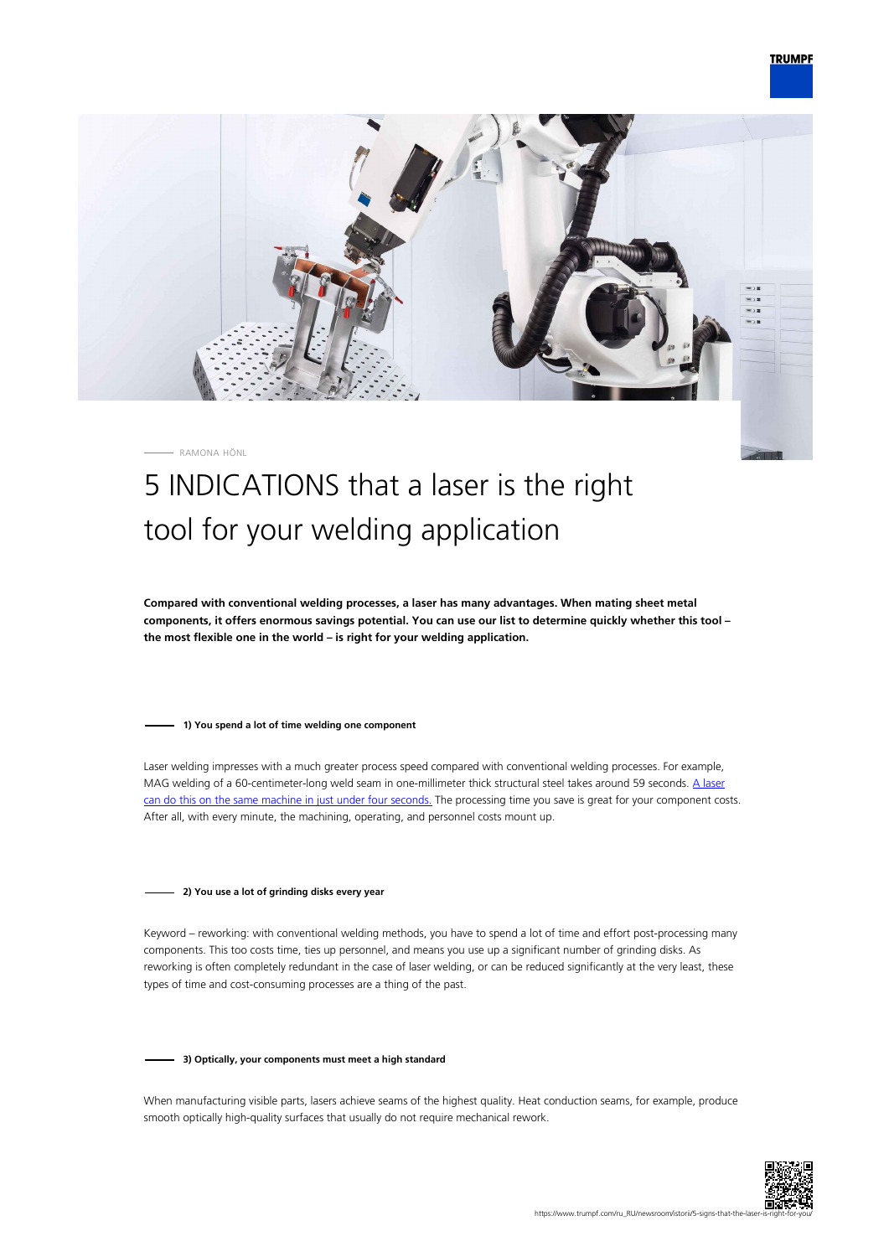# **TRUMPF**



#### RAMONA HÖNL

# 5 INDICATIONS that a laser is the right tool for your welding application

**Compared with conventional welding processes, a laser has many advantages. When mating sheet metal components, it offers enormous savings potential. You can use our list to determine quickly whether this tool – the most flexible one in the world – is right for your welding application.**

#### **1) You spend a lot of time welding one component**

Laser welding impresses with a much greater process speed compared with conventional welding processes. For example, MAG welding of a 60-centimeter-long weld seam in one-millimeter thick structural steel takes around 59 seconds. [A laser](https://www.youtube.com/watch?v=GFrfXVtZ3OE) [can do this on the same machine in just under four seconds.](https://www.youtube.com/watch?v=GFrfXVtZ3OE) The processing time you save is great for your component costs. After all, with every minute, the machining, operating, and personnel costs mount up.

#### **2) You use a lot of grinding disks every year**

Keyword – reworking: with conventional welding methods, you have to spend a lot of time and effort post-processing many components. This too costs time, ties up personnel, and means you use up a significant number of grinding disks. As reworking is often completely redundant in the case of laser welding, or can be reduced significantly at the very least, these types of time and cost-consuming processes are a thing of the past.

#### **3) Optically, your components must meet a high standard**

When manufacturing visible parts, lasers achieve seams of the highest quality. Heat conduction seams, for example, produce smooth optically high-quality surfaces that usually do not require mechanical rework.